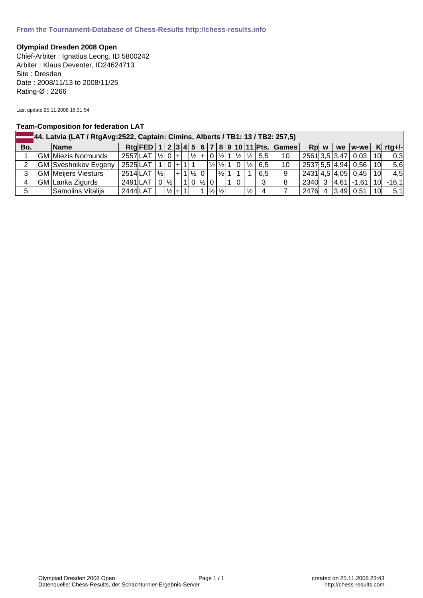## **Olympiad Dresden 2008 Open**

Chief-Arbiter : Ignatius Leong, ID 5800242 Arbiter : Klaus Deventer, ID24624713 Site : Dresden Date : 2008/11/13 to 2008/11/25 Rating-Ø : 2266

Last update 25.11.2008 16:31:54

## **Team-Composition for federation LAT**

|     | 44. Latvia (LAT / RtgAvg:2522, Captain: Cimins, Alberts / TB1: 13 / TB2: 257,5) |                             |                        |  |  |                     |  |  |  |                       |                      |                   |    |             |                                               |                                                                   |                                            |                  |      |                         |     |            |
|-----|---------------------------------------------------------------------------------|-----------------------------|------------------------|--|--|---------------------|--|--|--|-----------------------|----------------------|-------------------|----|-------------|-----------------------------------------------|-------------------------------------------------------------------|--------------------------------------------|------------------|------|-------------------------|-----|------------|
| Bo. |                                                                                 | <b>Name</b>                 |                        |  |  |                     |  |  |  |                       |                      |                   |    |             |                                               |                                                                   | Rtg FED 1 2 3 4 5 6 7 8 9 10 11 Pts. Games |                  | Rp w | we $ w$ -we $ $         |     | $K$ rtg+/- |
|     |                                                                                 | <b>GM Miezis Normunds</b>   | $2557$ LAT $ V_2 0 $ + |  |  |                     |  |  |  |                       |                      |                   |    |             |                                               | $\frac{1}{2}$ + 0 $\frac{1}{2}$ 1 $\frac{1}{2}$ $\frac{1}{2}$ 5.5 | 10                                         |                  |      | 2561 3,5 3,47 0,03 10   |     | 0,3        |
| 2   |                                                                                 | <b>GM</b> Sveshnikov Evgeny | $2525$ LAT $10+11$     |  |  |                     |  |  |  |                       |                      |                   |    |             | $\frac{1}{2}$ $\frac{1}{2}$ 1 0 $\frac{1}{2}$ | 6.5                                                               | 10                                         |                  |      | 2537  5,5   4,94   0,56 | 10l | 5,6        |
| 3   |                                                                                 | <b>GM</b> Meijers Viesturs  | 2514LAT  ½             |  |  |                     |  |  |  | $ + 1 \frac{1}{2} 0 $ |                      | $ \frac{1}{2} $ 1 |    |             |                                               | 6.5                                                               | 9                                          |                  |      | 2431 4,5 4,05   0,45    | 10l | 4,5        |
| 4   |                                                                                 | GM Lanka Zigurds            | 2491LAT                |  |  | $0\frac{1}{2}$      |  |  |  |                       | $1 0 \frac{1}{2} 0 $ |                   | 11 | $\mathbf 0$ |                                               | 3                                                                 | 8                                          |                  |      | 2340 3 4.61 - 1.61      | 10l | $-16,1$    |
| 5   |                                                                                 | Samolins Vitalijs           | $2444$ LAT             |  |  | $ \frac{1}{2} $ + 1 |  |  |  |                       |                      | 1/2 1/2           |    |             | $\frac{1}{2}$                                 | $\overline{4}$                                                    |                                            | 2476 4 3,49 0,51 |      |                         | 10l | 5,1        |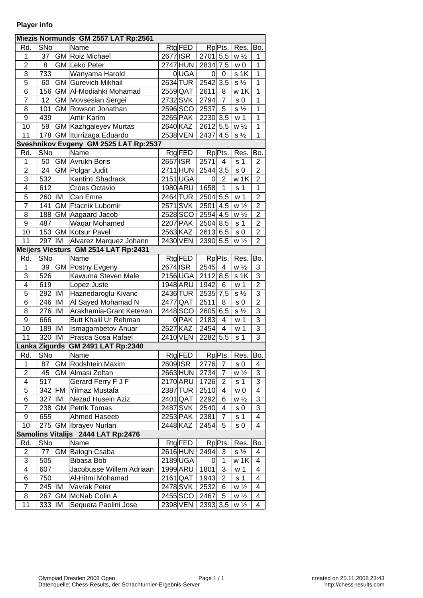## **Player info**

| Miezis Normunds GM 2557 LAT Rp:2561   |                 |    |                                    |          |                |                       |                         |                |                           |  |  |
|---------------------------------------|-----------------|----|------------------------------------|----------|----------------|-----------------------|-------------------------|----------------|---------------------------|--|--|
| Rd.                                   | SN <sub>o</sub> |    | Name                               |          | Rtg FED        |                       | Rp Pts.                 | Res.           | Bo.                       |  |  |
| $\mathbf 1$                           | 37              |    | GM Roiz Michael                    | 2677 ISR |                | $2701$ 5,5            |                         | $w\frac{1}{2}$ | 1                         |  |  |
| $\overline{2}$                        | 8               |    | <b>GM</b> Leko Peter               |          | 2747 HUN       | 2834 7,5              |                         | w <sub>0</sub> | $\overline{1}$            |  |  |
| 3                                     | 733             |    | Wanyama Harold                     |          | 0 UGA          | <sub>0</sub>          | $\mathbf 0$             | s 1K           | $\mathbf 1$               |  |  |
| $\overline{5}$                        | 60              |    | <b>GM</b> Gurevich Mikhail         |          | 2634 TUR       | $2542 \mid 3,5 \mid$  |                         | $s\frac{1}{2}$ | $\overline{1}$            |  |  |
| 6                                     |                 |    | 156 GM AI-Modiahki Mohamad         | 2559 QAT |                | 2611                  | 8                       | w 1K           | $\mathbf{1}$              |  |  |
| $\overline{7}$                        | 12              |    | <b>GM</b> Movsesian Sergei         |          | 2732SVK        | 2794                  | $\overline{7}$          | s <sub>0</sub> | $\overline{1}$            |  |  |
| 8                                     | 101             |    | GM Rowson Jonathan                 |          | 2596 SCO       | 2537                  | 5                       | $s\frac{1}{2}$ | $\mathbf{1}$              |  |  |
| $\overline{9}$                        | 439             |    | Amir Karim                         |          | 2265 PAK       | 2230 3,5              |                         | $w_1$          | $\overline{1}$            |  |  |
| 10                                    | 59              |    | <b>GM Kazhgaleyev Murtas</b>       |          | 2640 KAZ       | 2612 5,5              |                         | $w\frac{1}{2}$ | $\mathbf{1}$              |  |  |
| 11                                    | 178             |    | GM Iturrizaga Eduardo              | 2538 VEN |                | $2437$ 4,5            |                         | $s\frac{1}{2}$ | $\mathbf{1}$              |  |  |
| Sveshnikov Evgeny GM 2525 LAT Rp:2537 |                 |    |                                    |          |                |                       |                         |                |                           |  |  |
| Rd.                                   | SNo             |    | Name                               |          | Rtg FED        |                       | Rp <sub>Pts</sub> .     | Res.           | Bo.                       |  |  |
| 1                                     | 50              |    | <b>GM</b> Avrukh Boris             | 2657 ISR |                | 2571                  | 4                       | s <sub>1</sub> | 2                         |  |  |
| $\overline{2}$                        | 24              |    | GM Polgar Judit                    |          | 2711 HUN       | $2544$ 3,5            |                         | s <sub>0</sub> | $\overline{2}$            |  |  |
| 3                                     | 532             |    | Kantinti Shadrack                  |          | 2151 UGA       | 0                     | $\overline{\mathbf{c}}$ | w 1K           | $\overline{c}$            |  |  |
| $\overline{\mathbf{4}}$               | 612             |    | Croes Octavio                      |          | 1980 ARU       | 1658                  | $\overline{1}$          | s <sub>1</sub> | $\mathbf 1$               |  |  |
| 5                                     | 260   IM        |    | Can Emre                           |          | 2464 TUR       | $2504$ 5,5            |                         | w <sub>1</sub> | $\overline{c}$            |  |  |
| $\overline{7}$                        | 141             |    | <b>GM</b> Ftacnik Lubomir          |          | 2571 SVK       | $2501$ 4,5            |                         | $w\frac{1}{2}$ | $\overline{2}$            |  |  |
| 8                                     |                 |    | 188 GM Aagaard Jacob               |          | $2528$ SCO     | $2594 \mid 4.5$       |                         | $w\frac{1}{2}$ | $\overline{2}$            |  |  |
| $\overline{9}$                        | 487             |    | Waqar Mohamed                      |          | 2207 PAK       | $2504$ 8,5            |                         | s <sub>1</sub> | $\overline{2}$            |  |  |
| 10                                    |                 |    | 153 GM Kotsur Pavel                | 2563 KAZ |                | $\overline{2613}$ 6,5 |                         | s <sub>0</sub> | $\overline{2}$            |  |  |
| 11                                    | 297             | IM | Alvarez Marquez Johann             |          | 2430 VEN       | 2390  5,5             |                         | $w\frac{1}{2}$ | $\overline{2}$            |  |  |
| Meijers Viesturs GM 2514 LAT Rp:2431  |                 |    |                                    |          |                |                       |                         |                |                           |  |  |
| Rd.                                   | SNo             |    | Name                               |          | Rtg FED        |                       | Rp Pts.                 | Res.           | Bo.                       |  |  |
| $\mathbf 1$                           | 39              |    | <b>GM</b> Postny Evgeny            | 2674 ISR |                | 2545                  | $\overline{\mathbf{4}}$ | $w\frac{1}{2}$ | 3                         |  |  |
| $\overline{3}$                        | 526             |    | Kawuma Steven Male                 |          | 2156 UGA       | $2112 \mid 8,5$       |                         | s 1K           | $\overline{3}$            |  |  |
| $\overline{4}$                        | 619             |    | Lopez Juste                        |          | 1948 ARU       | 1942                  | 6                       | w <sub>1</sub> | $\overline{2}$            |  |  |
| $\overline{5}$                        | 292  IM         |    | Haznedaroglu Kivanc                |          | 2436 TUR       | $2535$ 7,5            |                         | $s\frac{1}{2}$ | $\overline{3}$            |  |  |
| 6                                     | 246             | IM | Al Sayed Mohamad N                 |          | 2477 QAT       | 2511                  | 8                       | s <sub>0</sub> | $\overline{2}$            |  |  |
| 8                                     | 276  IM         |    | Arakhamia-Grant Ketevan            |          | 2448 SCO       | $2605 \, 6,5$         |                         | $s\frac{1}{2}$ | $\overline{3}$            |  |  |
| 9                                     | 666             |    | Butt Khalil Ur Rehman              |          | $0$ PAK        | 2183                  | 4                       | w <sub>1</sub> | $\ensuremath{\mathsf{3}}$ |  |  |
| 10                                    | $189$  IM       |    | <b>Ismagambetov Anuar</b>          |          | 2527 KAZ       | 2454                  | 4                       | w <sub>1</sub> | $\overline{3}$            |  |  |
| 11                                    | 320   IM        |    | Prasca Sosa Rafael                 |          | 2410 VEN       | $\overline{2282}$ 5,5 |                         | s <sub>1</sub> | $\overline{3}$            |  |  |
|                                       |                 |    | Lanka Zigurds GM 2491 LAT Rp:2340  |          |                |                       |                         |                |                           |  |  |
| Rd.                                   | SNo             |    | Name                               |          | <b>Rtg</b> FED |                       | Rp <sub>Pts</sub> .     | Res.           | Bo.                       |  |  |
| 1                                     | 87              |    | <b>GM Rodshtein Maxim</b>          | 2609 ISR |                | 2776                  | $\overline{7}$          | s 0            | 4                         |  |  |
| $\overline{c}$                        | 45              |    | GM Almasi Zoltan                   |          | 2663 HUN       | 2734                  | $\overline{7}$          | $w\frac{1}{2}$ | 3                         |  |  |
| 4                                     | 517             |    | Gerard Ferry F J F                 |          | 2170 ARU       | 1726                  | $\overline{2}$          | s <sub>1</sub> | 3                         |  |  |
| $\overline{5}$                        |                 |    | 342 FM Yilmaz Mustafa              |          | 2387 TUR       | 2510                  | 4                       | w0             | 4                         |  |  |
| 6                                     | 327             | IM | Nezad Husein Aziz                  |          | 2401 QAT       | 2292                  | 6                       | $w\frac{1}{2}$ | 3                         |  |  |
| $\overline{7}$                        |                 |    | 238 GM Petrik Tomas                | 2487 SVK |                | 2540                  | 4                       | s <sub>0</sub> | $\overline{3}$            |  |  |
| 9                                     | 655             |    | Ahmed Haseeb                       |          | 2253 PAK       | 2381                  | 7                       | s <sub>1</sub> | 4                         |  |  |
| 10                                    |                 |    | 275 GM Ibrayev Nurlan              | 2448 KAZ |                | 2454                  | 5                       | s 0            | 4                         |  |  |
|                                       |                 |    | Samolins Vitalijs 2444 LAT Rp:2476 |          |                |                       |                         |                |                           |  |  |
| Rd.                                   | SNo             |    | Name                               |          | Rtg FED        |                       | Rp <sub>Pts</sub> .     | Res.           | Bo.                       |  |  |
| $\overline{c}$                        | 77              |    | GM Balogh Csaba                    |          | 2616HUN        | 2494                  | 3                       | $s\frac{1}{2}$ | 4                         |  |  |
| 3                                     | 505             |    | <b>Bibasa Bob</b>                  |          | 2189UGA        | 0                     | $\mathbf{1}$            | w 1K           | 4                         |  |  |
| $\overline{\mathbf{4}}$               | 607             |    | Jacobusse Willem Adriaan           |          | 1999 ARU       | 1801                  | 3                       | w <sub>1</sub> | 4                         |  |  |
| 6                                     | 750             |    | Al-Hitmi Mohamad                   |          | $2161$ QAT     | 1943                  | $\overline{2}$          | s <sub>1</sub> | 4                         |  |  |
| $\overline{7}$                        | 245   IM        |    | Vavrak Peter                       |          | 2478 SVK       | 2532                  | 6                       | $w\frac{1}{2}$ | 4                         |  |  |
| 8                                     |                 |    | 267   GM   McNab Colin A           |          | 2455 SCO       | 2467                  | 5                       | $w\frac{1}{2}$ | 4                         |  |  |
| 11                                    | 333   IM        |    | Sequera Paolini Jose               |          | 2398 VEN       | 2393 3,5              |                         | $w\frac{1}{2}$ | 4                         |  |  |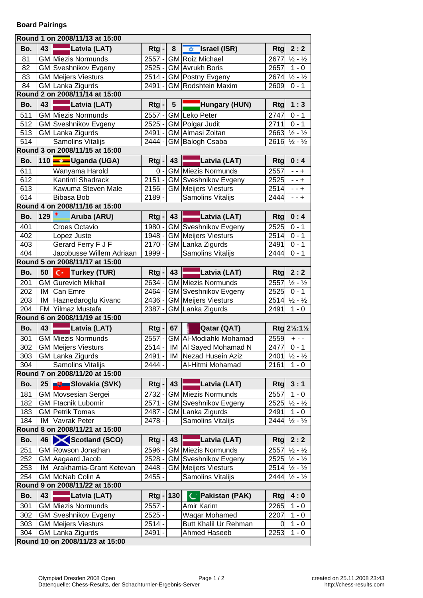| Round 1 on 2008/11/13 at 15:00 |     |                                 |            |                              |     |                               |            |                                      |  |  |  |  |
|--------------------------------|-----|---------------------------------|------------|------------------------------|-----|-------------------------------|------------|--------------------------------------|--|--|--|--|
| Bo.                            | 43  | Latvia (LAT)                    | <b>Rtg</b> |                              | 8   | Israel (ISR)                  | <b>Rtg</b> | 2:2                                  |  |  |  |  |
| 81                             |     | <b>GM</b> Miezis Normunds       | 2557       |                              |     | <b>GM</b> Roiz Michael        | 2677       | $\frac{1}{2} - \frac{1}{2}$          |  |  |  |  |
| 82                             |     | GM Sveshnikov Evgeny            | 2525       |                              |     | GM Avrukh Boris               | 2657       | $1 - 0$                              |  |  |  |  |
| 83                             |     | <b>GM</b> Meijers Viesturs      | 2514       |                              |     | <b>GM Postny Evgeny</b>       |            | $2674 \frac{1}{2} - \frac{1}{2}$     |  |  |  |  |
| 84                             |     | GM Lanka Zigurds                | 2491       |                              |     | <b>GM</b> Rodshtein Maxim     | 2609       | $0 - 1$                              |  |  |  |  |
|                                |     | Round 2 on 2008/11/14 at 15:00  |            |                              |     |                               |            |                                      |  |  |  |  |
| Bo.                            | 43  | Latvia (LAT)                    | Rtg        |                              | 5   | Hungary (HUN)                 | Rtg        | 1:3                                  |  |  |  |  |
| 511                            |     | <b>GM</b> Miezis Normunds       | 2557       |                              |     | <b>GM</b> Leko Peter          | 2747       | $0 - 1$                              |  |  |  |  |
| 512                            |     | <b>GM</b> Sveshnikov Evgeny     | 2525       |                              |     | GM Polgar Judit               | 2711       | $0 - 1$                              |  |  |  |  |
| 513                            |     | GM Lanka Zigurds                | 2491       |                              |     | GM Almasi Zoltan              |            | $2663 \frac{1}{2} - \frac{1}{2}$     |  |  |  |  |
| 514                            |     | Samolins Vitalijs               | $2444 -$   |                              |     | GM Balogh Csaba               |            | $2616 \frac{1}{2} - \frac{1}{2}$     |  |  |  |  |
|                                |     | Round 3 on 2008/11/15 at 15:00  |            |                              |     |                               |            |                                      |  |  |  |  |
| Bo.                            | 110 | Uganda (UGA)                    | Rtg        |                              | 43  | Latvia (LAT)                  | <b>Rtg</b> | 0:4                                  |  |  |  |  |
| 611                            |     | Wanyama Harold                  | 0l         |                              |     | <b>GM</b> Miezis Normunds     | 2557       | $- + +$                              |  |  |  |  |
| 612                            |     | Kantinti Shadrack               | 2151       |                              |     | <b>GM</b> Sveshnikov Evgeny   | 2525       | $- + +$                              |  |  |  |  |
| 613                            |     | Kawuma Steven Male              | 2156       |                              |     | <b>GM</b> Meijers Viesturs    | 2514       | $- + +$                              |  |  |  |  |
| 614                            |     | Bibasa Bob                      | 2189       |                              |     | Samolins Vitalijs             | 2444       | $- + +$                              |  |  |  |  |
|                                |     | Round 4 on 2008/11/16 at 15:00  |            |                              |     |                               |            |                                      |  |  |  |  |
| Bo.                            | 129 | Aruba (ARU)                     | Rtg        |                              | 43  | Latvia (LAT)                  | <b>Rtg</b> | 0:4                                  |  |  |  |  |
| 401                            |     | Croes Octavio                   | 1980       |                              |     | <b>GM</b> Sveshnikov Evgeny   | 2525       | $0 - 1$                              |  |  |  |  |
| 402                            |     | Lopez Juste                     | 1948       |                              |     | <b>GM</b> Meijers Viesturs    | 2514       | $0 - 1$                              |  |  |  |  |
| 403                            |     | Gerard Ferry F J F              |            |                              |     | 2170 - GM Lanka Zigurds       | 2491       | $0 - 1$                              |  |  |  |  |
| 404                            |     | Jacobusse Willem Adriaan        | $1999 -$   |                              |     | Samolins Vitalijs             | 2444       | $0 - 1$                              |  |  |  |  |
|                                |     | Round 5 on 2008/11/17 at 15:00  |            |                              |     |                               |            |                                      |  |  |  |  |
| Bo.                            | 50  | Turkey (TUR)                    | Rtg        |                              | 43  | Latvia (LAT)                  | Rtg        | 2:2                                  |  |  |  |  |
| 201                            |     | <b>GM</b> Gurevich Mikhail      | 2634       |                              |     | <b>GM</b> Miezis Normunds     | 2557       | $\frac{1}{2} - \frac{1}{2}$          |  |  |  |  |
| 202                            | IM  | Can Emre                        | 2464       |                              |     | <b>GM</b> Sveshnikov Evgeny   | 2525       | $0 - 1$                              |  |  |  |  |
| 203                            | IM  | Haznedaroglu Kivanc             | 2436       |                              |     | <b>GM</b> Meijers Viesturs    | 2514       | $\frac{1}{2} - \frac{1}{2}$          |  |  |  |  |
| $\overline{204}$               |     | FM Yilmaz Mustafa               | 2387       |                              |     | GM Lanka Zigurds              | 2491       | $1 - 0$                              |  |  |  |  |
|                                |     | Round 6 on 2008/11/19 at 15:00  |            |                              |     |                               |            |                                      |  |  |  |  |
|                                |     |                                 |            |                              |     |                               |            |                                      |  |  |  |  |
| Bo.                            | 43  | Latvia (LAT)                    | Rtg        |                              | 67  | Qatar (QAT)                   |            | Rtg 21/2:11/2                        |  |  |  |  |
| 301                            |     | <b>GM</b> Miezis Normunds       | 2557       |                              |     | <b>GM Al-Modiahki Mohamad</b> | 2559       | $+ - -$                              |  |  |  |  |
| 302                            |     | <b>GM</b> Meijers Viesturs      | 2514       | $\qquad \qquad \blacksquare$ |     | IM   Al Sayed Mohamad N       | 2477       | $0 - 1$                              |  |  |  |  |
| 303                            |     | GM Lanka Zigurds                | $2491 -$   |                              |     | <b>IM Nezad Husein Aziz</b>   |            | $2401 \frac{1}{2} - \frac{1}{2}$     |  |  |  |  |
| 304                            |     | Samolins Vitalijs               | $2444$ -   |                              |     | Al-Hitmi Mohamad              | 2161       | $1 - 0$                              |  |  |  |  |
|                                |     | Round 7 on 2008/11/20 at 15:00  |            |                              |     |                               |            |                                      |  |  |  |  |
| Bo.                            | 25  | Slovakia (SVK)                  | Rtg        |                              | 43  | Latvia (LAT)                  | <b>Rtg</b> | 3:1                                  |  |  |  |  |
| 181                            |     | GM Movsesian Sergei             | 2732       |                              |     | <b>GM</b> Miezis Normunds     | 2557       | $1 - 0$                              |  |  |  |  |
| 182                            |     | <b>GM</b> Ftacnik Lubomir       | 2571       |                              |     | <b>GM</b> Sveshnikov Evgeny   | 2525       | $\frac{1}{2} - \frac{1}{2}$          |  |  |  |  |
| 183                            |     | <b>GM Petrik Tomas</b>          | 2487       |                              |     | GM Lanka Zigurds              | 2491       | $1 - 0$                              |  |  |  |  |
| 184                            | IM  | Vavrak Peter                    | 2478-      |                              |     | Samolins Vitalijs             | 2444       | $\frac{1}{2} - \frac{1}{2}$          |  |  |  |  |
|                                |     | Round 8 on 2008/11/21 at 15:00  |            |                              |     |                               |            |                                      |  |  |  |  |
| Bo.                            | 46  | Scotland (SCO)                  | Rtg        |                              | 43  | Latvia (LAT)                  | Rtg        | 2:2                                  |  |  |  |  |
| 251                            |     | GM Rowson Jonathan              | 2596       |                              |     | <b>GM</b> Miezis Normunds     | 2557       | $\frac{1}{2} - \frac{1}{2}$          |  |  |  |  |
| 252                            |     | GM Aagaard Jacob                | 2528       |                              |     | <b>GM Sveshnikov Evgeny</b>   | 2525       | $\frac{1}{2} - \frac{1}{2}$          |  |  |  |  |
| 253                            | IM  | Arakhamia-Grant Ketevan         | 2448       |                              |     | <b>GM</b> Meijers Viesturs    |            | $2514$ $\frac{1}{2}$ - $\frac{1}{2}$ |  |  |  |  |
| 254                            |     | GM McNab Colin A                | 2455       |                              |     | Samolins Vitalijs             |            | $2444 \frac{1}{2} - \frac{1}{2}$     |  |  |  |  |
|                                |     | Round 9 on 2008/11/22 at 15:00  |            |                              |     |                               |            |                                      |  |  |  |  |
| Bo.                            | 43  | Latvia (LAT)                    | Rtg        |                              | 130 | Pakistan (PAK)                | <b>Rtg</b> | 4:0                                  |  |  |  |  |
| 301                            |     | <b>GM</b> Miezis Normunds       | 2557       |                              |     | Amir Karim                    | 2265       | $1 - 0$                              |  |  |  |  |
| 302                            |     | <b>GM</b> Sveshnikov Evgeny     | 2525       |                              |     | Waqar Mohamed                 | 2207       | $1 - 0$                              |  |  |  |  |
| 303                            |     | <b>GM</b> Meijers Viesturs      | 2514       |                              |     | Butt Khalil Ur Rehman         | 0          | $1 - 0$                              |  |  |  |  |
| 304                            |     | GM Lanka Zigurds                | 2491       |                              |     | Ahmed Haseeb                  | 2253       | $1 - 0$                              |  |  |  |  |
|                                |     | Round 10 on 2008/11/23 at 15:00 |            |                              |     |                               |            |                                      |  |  |  |  |